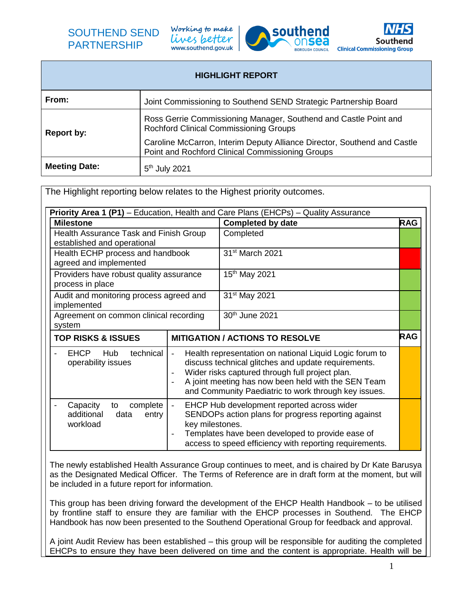# SOUTHEND SEND PARTNERSHIP

Working to make lives better www.southend.gov.uk





| <b>HIGHLIGHT REPORT</b> |                                                                                                                              |  |
|-------------------------|------------------------------------------------------------------------------------------------------------------------------|--|
| From:                   | Joint Commissioning to Southend SEND Strategic Partnership Board                                                             |  |
| Report by:              | Ross Gerrie Commissioning Manager, Southend and Castle Point and<br>Rochford Clinical Commissioning Groups                   |  |
|                         | Caroline McCarron, Interim Deputy Alliance Director, Southend and Castle<br>Point and Rochford Clinical Commissioning Groups |  |
| <b>Meeting Date:</b>    | 5 <sup>th</sup> July 2021                                                                                                    |  |

The Highlight reporting below relates to the Highest priority outcomes. **Priority Area 1 (P1)** – Education, Health and Care Plans (EHCPs) – Quality Assurance **Milestone Completed by date** RAG Health Assurance Task and Finish Group established and operational **Completed** Health ECHP process and handbook agreed and implemented 31st March 2021 Providers have robust quality assurance process in place 15th May 2021 Audit and monitoring process agreed and implemented 31st May 2021 Agreement on common clinical recording system 30th June 2021 **TOP RISKS & ISSUES MITIGATION / ACTIONS TO RESOLVE RAG** EHCP Hub technical operability issues Health representation on national Liquid Logic forum to discuss technical glitches and update requirements. Wider risks captured through full project plan. A joint meeting has now been held with the SEN Team and Community Paediatric to work through key issues. Capacity to complete additional data entry workload EHCP Hub development reported across wider SENDOPs action plans for progress reporting against key milestones. Templates have been developed to provide ease of access to speed efficiency with reporting requirements.

The newly established Health Assurance Group continues to meet, and is chaired by Dr Kate Barusya as the Designated Medical Officer. The Terms of Reference are in draft form at the moment, but will be included in a future report for information.

This group has been driving forward the development of the EHCP Health Handbook – to be utilised by frontline staff to ensure they are familiar with the EHCP processes in Southend. The EHCP Handbook has now been presented to the Southend Operational Group for feedback and approval.

A joint Audit Review has been established – this group will be responsible for auditing the completed EHCPs to ensure they have been delivered on time and the content is appropriate. Health will be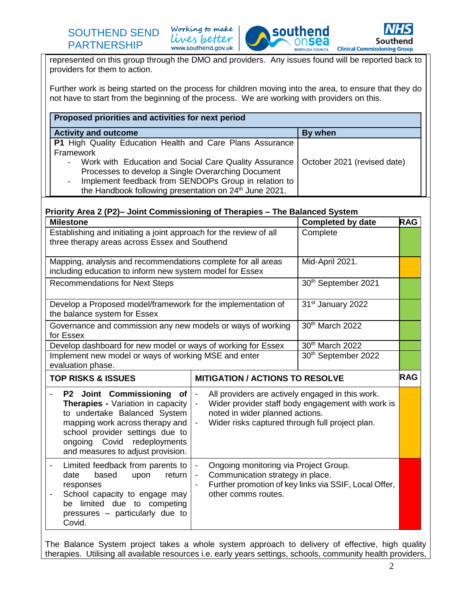



represented on this group through the DMO and providers. Any issues found will be reported back to providers for them to action.

Further work is being started on the process for children moving into the area, to ensure that they do not have to start from the beginning of the process. We are working with providers on this.

| Proposed priorities and activities for next period                                                                                                                                                                                                                                                                         |                             |  |  |
|----------------------------------------------------------------------------------------------------------------------------------------------------------------------------------------------------------------------------------------------------------------------------------------------------------------------------|-----------------------------|--|--|
| <b>Activity and outcome</b>                                                                                                                                                                                                                                                                                                | By when                     |  |  |
| <b>P1</b> High Quality Education Health and Care Plans Assurance<br>Framework<br>Work with Education and Social Care Quality Assurance<br>Processes to develop a Single Overarching Document<br>Implement feedback from SENDOPs Group in relation to<br>the Handbook following presentation on 24 <sup>th</sup> June 2021. | October 2021 (revised date) |  |  |

### **Priority Area 2 (P2)– Joint Commissioning of Therapies – The Balanced System**

| <b>Milestone</b>                                                                                                                                                                                                                                                                                                                                                                                                                                                           | <b>Completed by date</b>                                                                                                                                                                                                                                    | <b>RAG</b>                                           |  |
|----------------------------------------------------------------------------------------------------------------------------------------------------------------------------------------------------------------------------------------------------------------------------------------------------------------------------------------------------------------------------------------------------------------------------------------------------------------------------|-------------------------------------------------------------------------------------------------------------------------------------------------------------------------------------------------------------------------------------------------------------|------------------------------------------------------|--|
| Establishing and initiating a joint approach for the review of all<br>three therapy areas across Essex and Southend                                                                                                                                                                                                                                                                                                                                                        | Complete                                                                                                                                                                                                                                                    |                                                      |  |
| Mapping, analysis and recommendations complete for all areas<br>including education to inform new system model for Essex                                                                                                                                                                                                                                                                                                                                                   | Mid-April 2021.                                                                                                                                                                                                                                             |                                                      |  |
| <b>Recommendations for Next Steps</b>                                                                                                                                                                                                                                                                                                                                                                                                                                      | 30th September 2021                                                                                                                                                                                                                                         |                                                      |  |
| Develop a Proposed model/framework for the implementation of<br>the balance system for Essex                                                                                                                                                                                                                                                                                                                                                                               | 31 <sup>st</sup> January 2022                                                                                                                                                                                                                               |                                                      |  |
| Governance and commission any new models or ways of working<br>for Essex                                                                                                                                                                                                                                                                                                                                                                                                   | 30th March 2022                                                                                                                                                                                                                                             |                                                      |  |
| Develop dashboard for new model or ways of working for Essex                                                                                                                                                                                                                                                                                                                                                                                                               |                                                                                                                                                                                                                                                             | 30th March 2022                                      |  |
| Implement new model or ways of working MSE and enter<br>evaluation phase.                                                                                                                                                                                                                                                                                                                                                                                                  | 30th September 2022                                                                                                                                                                                                                                         |                                                      |  |
| <b>TOP RISKS &amp; ISSUES</b>                                                                                                                                                                                                                                                                                                                                                                                                                                              |                                                                                                                                                                                                                                                             | <b>RAG</b><br><b>MITIGATION / ACTIONS TO RESOLVE</b> |  |
| P2 Joint Commissioning of<br><b>Therapies - Variation in capacity</b><br>to undertake Balanced System<br>mapping work across therapy and<br>school provider settings due to<br>ongoing Covid redeployments<br>and measures to adjust provision.                                                                                                                                                                                                                            | All providers are actively engaged in this work.<br>$\blacksquare$<br>Wider provider staff body engagement with work is<br>$\blacksquare$<br>noted in wider planned actions.<br>Wider risks captured through full project plan.<br>$\overline{\phantom{a}}$ |                                                      |  |
| Limited feedback from parents to<br>Ongoing monitoring via Project Group.<br>$\overline{\phantom{a}}$<br>$\overline{\phantom{a}}$<br>Communication strategy in place.<br>date<br>based<br>upon<br>return<br>$\overline{\phantom{a}}$<br>Further promotion of key links via SSIF, Local Offer,<br>responses<br>$\overline{\phantom{0}}$<br>other comms routes.<br>School capacity to engage may<br>be limited due to competing<br>pressures - particularly due to<br>Covid. |                                                                                                                                                                                                                                                             |                                                      |  |

The Balance System project takes a whole system approach to delivery of effective, high quality therapies. Utilising all available resources i.e. early years settings, schools, community health providers,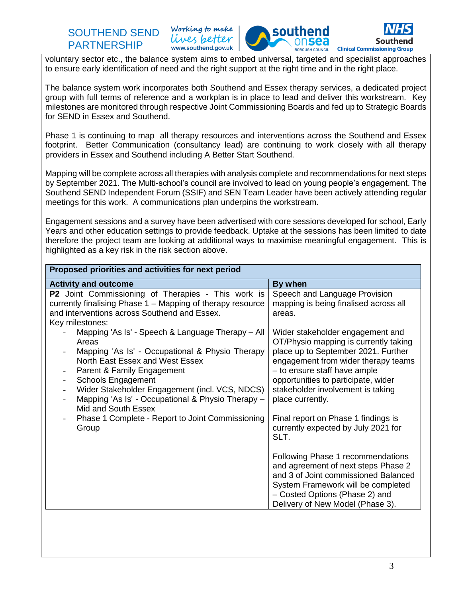## SOUTHEND SEND PARTNERSHIP

Working to make lives better www.southend.gov.uk



voluntary sector etc., the balance system aims to embed universal, targeted and specialist approaches to ensure early identification of need and the right support at the right time and in the right place.

The balance system work incorporates both Southend and Essex therapy services, a dedicated project group with full terms of reference and a workplan is in place to lead and deliver this workstream. Key milestones are monitored through respective Joint Commissioning Boards and fed up to Strategic Boards for SEND in Essex and Southend.

Phase 1 is continuing to map all therapy resources and interventions across the Southend and Essex footprint. Better Communication (consultancy lead) are continuing to work closely with all therapy providers in Essex and Southend including A Better Start Southend.

Mapping will be complete across all therapies with analysis complete and recommendations for next steps by September 2021. The Multi-school's council are involved to lead on young people's engagement. The Southend SEND Independent Forum (SSIF) and SEN Team Leader have been actively attending regular meetings for this work. A communications plan underpins the workstream.

Engagement sessions and a survey have been advertised with core sessions developed for school, Early Years and other education settings to provide feedback. Uptake at the sessions has been limited to date therefore the project team are looking at additional ways to maximise meaningful engagement. This is highlighted as a key risk in the risk section above.

| By when<br><b>Activity and outcome</b><br><b>P2</b> Joint Commissioning of Therapies - This work is<br>Speech and Language Provision<br>currently finalising Phase 1 - Mapping of therapy resource<br>mapping is being finalised across all<br>and interventions across Southend and Essex.<br>areas.<br>Key milestones:<br>Mapping 'As Is' - Speech & Language Therapy - All<br>Wider stakeholder engagement and                                                                                                                                                                                                                                                                                                                                               |
|-----------------------------------------------------------------------------------------------------------------------------------------------------------------------------------------------------------------------------------------------------------------------------------------------------------------------------------------------------------------------------------------------------------------------------------------------------------------------------------------------------------------------------------------------------------------------------------------------------------------------------------------------------------------------------------------------------------------------------------------------------------------|
|                                                                                                                                                                                                                                                                                                                                                                                                                                                                                                                                                                                                                                                                                                                                                                 |
| OT/Physio mapping is currently taking<br>Areas<br>Mapping 'As Is' - Occupational & Physio Therapy<br>place up to September 2021. Further<br>North East Essex and West Essex<br>engagement from wider therapy teams<br>- to ensure staff have ample<br>Parent & Family Engagement<br><b>Schools Engagement</b><br>opportunities to participate, wider<br>Wider Stakeholder Engagement (incl. VCS, NDCS)<br>stakeholder involvement is taking<br>$\overline{\phantom{a}}$<br>Mapping 'As Is' - Occupational & Physio Therapy -<br>place currently.<br>Mid and South Essex<br>Phase 1 Complete - Report to Joint Commissioning<br>Final report on Phase 1 findings is<br>currently expected by July 2021 for<br>Group<br>SLT.<br>Following Phase 1 recommendations |
| and agreement of next steps Phase 2<br>and 3 of Joint commissioned Balanced<br>System Framework will be completed<br>- Costed Options (Phase 2) and                                                                                                                                                                                                                                                                                                                                                                                                                                                                                                                                                                                                             |
| Delivery of New Model (Phase 3).                                                                                                                                                                                                                                                                                                                                                                                                                                                                                                                                                                                                                                                                                                                                |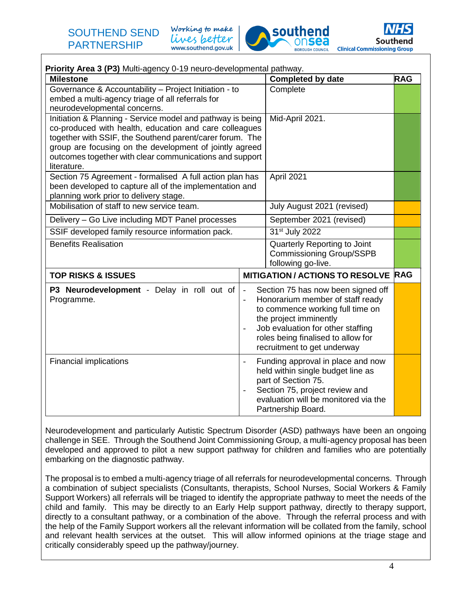Working to make lives better www.southend.gov.uk





| Priority Area 3 (P3) Multi-agency 0-19 neuro-developmental pathway.                                                                                                                                                                                                                                                   |                          |                                                                                                                                                                                                                                                |            |  |
|-----------------------------------------------------------------------------------------------------------------------------------------------------------------------------------------------------------------------------------------------------------------------------------------------------------------------|--------------------------|------------------------------------------------------------------------------------------------------------------------------------------------------------------------------------------------------------------------------------------------|------------|--|
| <b>Milestone</b>                                                                                                                                                                                                                                                                                                      | <b>Completed by date</b> | <b>RAG</b>                                                                                                                                                                                                                                     |            |  |
| Governance & Accountability - Project Initiation - to<br>embed a multi-agency triage of all referrals for<br>neurodevelopmental concerns.                                                                                                                                                                             | Complete                 |                                                                                                                                                                                                                                                |            |  |
| Initiation & Planning - Service model and pathway is being<br>co-produced with health, education and care colleagues<br>together with SSIF, the Southend parent/carer forum. The<br>group are focusing on the development of jointly agreed<br>outcomes together with clear communications and support<br>literature. | Mid-April 2021.          |                                                                                                                                                                                                                                                |            |  |
| Section 75 Agreement - formalised A full action plan has<br>been developed to capture all of the implementation and<br>planning work prior to delivery stage.                                                                                                                                                         |                          | April 2021                                                                                                                                                                                                                                     |            |  |
| Mobilisation of staff to new service team.                                                                                                                                                                                                                                                                            |                          | July August 2021 (revised)                                                                                                                                                                                                                     |            |  |
| Delivery - Go Live including MDT Panel processes                                                                                                                                                                                                                                                                      |                          | September 2021 (revised)                                                                                                                                                                                                                       |            |  |
| SSIF developed family resource information pack.                                                                                                                                                                                                                                                                      |                          | 31 <sup>st</sup> July 2022                                                                                                                                                                                                                     |            |  |
| <b>Benefits Realisation</b>                                                                                                                                                                                                                                                                                           |                          | Quarterly Reporting to Joint<br><b>Commissioning Group/SSPB</b><br>following go-live.                                                                                                                                                          |            |  |
| <b>TOP RISKS &amp; ISSUES</b>                                                                                                                                                                                                                                                                                         |                          | <b>MITIGATION / ACTIONS TO RESOLVE</b>                                                                                                                                                                                                         | <b>RAG</b> |  |
| P3 Neurodevelopment - Delay in roll out of<br>$\overline{\phantom{a}}$<br>Programme.                                                                                                                                                                                                                                  |                          | Section 75 has now been signed off<br>Honorarium member of staff ready<br>to commence working full time on<br>the project imminently<br>Job evaluation for other staffing<br>roles being finalised to allow for<br>recruitment to get underway |            |  |
| <b>Financial implications</b>                                                                                                                                                                                                                                                                                         |                          | Funding approval in place and now<br>held within single budget line as<br>part of Section 75.<br>Section 75, project review and<br>evaluation will be monitored via the<br>Partnership Board.                                                  |            |  |

Neurodevelopment and particularly Autistic Spectrum Disorder (ASD) pathways have been an ongoing challenge in SEE. Through the Southend Joint Commissioning Group, a multi-agency proposal has been developed and approved to pilot a new support pathway for children and families who are potentially embarking on the diagnostic pathway.

The proposal is to embed a multi-agency triage of all referrals for neurodevelopmental concerns. Through a combination of subject specialists (Consultants, therapists, School Nurses, Social Workers & Family Support Workers) all referrals will be triaged to identify the appropriate pathway to meet the needs of the child and family. This may be directly to an Early Help support pathway, directly to therapy support, directly to a consultant pathway, or a combination of the above. Through the referral process and with the help of the Family Support workers all the relevant information will be collated from the family, school and relevant health services at the outset. This will allow informed opinions at the triage stage and critically considerably speed up the pathway/journey.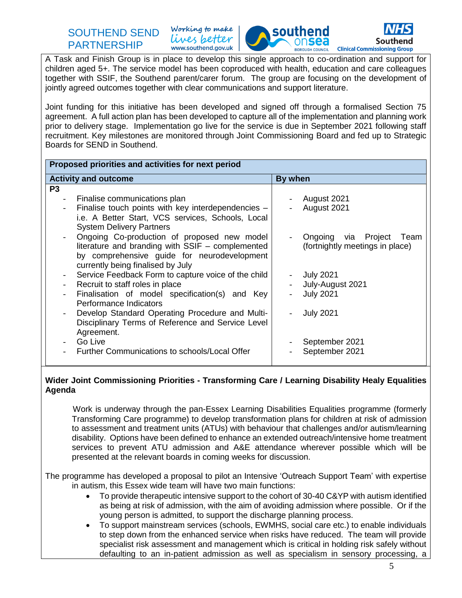# SOUTHEND SEND PARTNERSHIP

Working to make lives better www.southend.gov.uk





A Task and Finish Group is in place to develop this single approach to co-ordination and support for children aged 5+. The service model has been coproduced with health, education and care colleagues together with SSIF, the Southend parent/carer forum. The group are focusing on the development of jointly agreed outcomes together with clear communications and support literature.

Joint funding for this initiative has been developed and signed off through a formalised Section 75 agreement. A full action plan has been developed to capture all of the implementation and planning work prior to delivery stage. Implementation go live for the service is due in September 2021 following staff recruitment. Key milestones are monitored through Joint Commissioning Board and fed up to Strategic Boards for SEND in Southend.

| Proposed priorities and activities for next period                              |                                 |  |  |  |
|---------------------------------------------------------------------------------|---------------------------------|--|--|--|
| <b>Activity and outcome</b>                                                     | By when                         |  |  |  |
| P <sub>3</sub>                                                                  |                                 |  |  |  |
| Finalise communications plan<br>$\overline{\phantom{a}}$                        | August 2021                     |  |  |  |
| Finalise touch points with key interdependencies -                              | August 2021                     |  |  |  |
| i.e. A Better Start, VCS services, Schools, Local                               |                                 |  |  |  |
| <b>System Delivery Partners</b>                                                 |                                 |  |  |  |
| Ongoing Co-production of proposed new model                                     | Ongoing via Project<br>Team     |  |  |  |
| literature and branding with SSIF - complemented                                | (fortnightly meetings in place) |  |  |  |
| by comprehensive guide for neurodevelopment                                     |                                 |  |  |  |
| currently being finalised by July                                               |                                 |  |  |  |
| Service Feedback Form to capture voice of the child<br>$\overline{\phantom{a}}$ | <b>July 2021</b>                |  |  |  |
| Recruit to staff roles in place                                                 | July-August 2021                |  |  |  |
| Finalisation of model specification(s) and Key                                  | <b>July 2021</b>                |  |  |  |
| Performance Indicators                                                          |                                 |  |  |  |
| Develop Standard Operating Procedure and Multi-                                 | <b>July 2021</b>                |  |  |  |
| Disciplinary Terms of Reference and Service Level                               |                                 |  |  |  |
| Agreement.                                                                      |                                 |  |  |  |
| Go Live                                                                         | September 2021                  |  |  |  |
| Further Communications to schools/Local Offer                                   | September 2021                  |  |  |  |
|                                                                                 |                                 |  |  |  |

#### **Wider Joint Commissioning Priorities - Transforming Care / Learning Disability Healy Equalities Agenda**

 Work is underway through the pan-Essex Learning Disabilities Equalities programme (formerly Transforming Care programme) to develop transformation plans for children at risk of admission to assessment and treatment units (ATUs) with behaviour that challenges and/or autism/learning disability. Options have been defined to enhance an extended outreach/intensive home treatment services to prevent ATU admission and A&E attendance wherever possible which will be presented at the relevant boards in coming weeks for discussion.

The programme has developed a proposal to pilot an Intensive 'Outreach Support Team' with expertise in autism, this Essex wide team will have two main functions:

- To provide therapeutic intensive support to the cohort of 30-40 C&YP with autism identified as being at risk of admission, with the aim of avoiding admission where possible. Or if the young person is admitted, to support the discharge planning process.
- To support mainstream services (schools, EWMHS, social care etc.) to enable individuals to step down from the enhanced service when risks have reduced. The team will provide specialist risk assessment and management which is critical in holding risk safely without defaulting to an in-patient admission as well as specialism in sensory processing, a